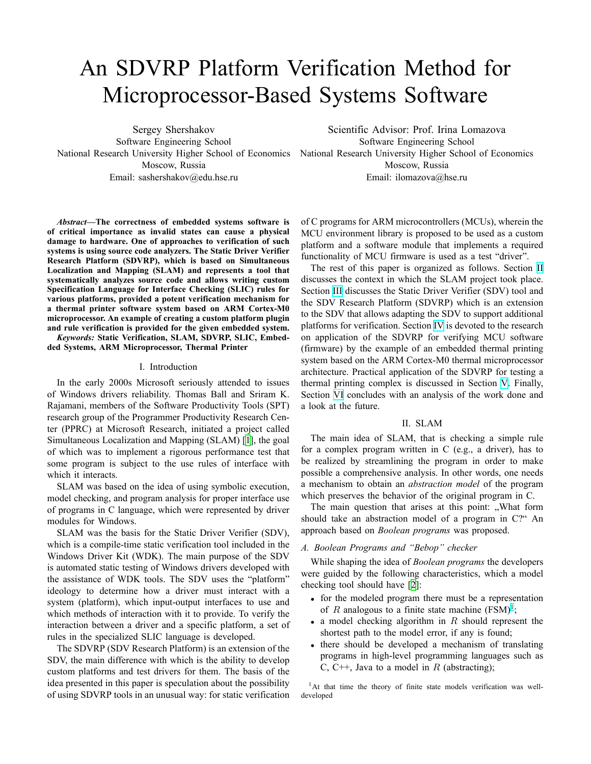# An SDVRP Platform Verification Method for Microprocessor-Based Systems Software

Sergey Shershakov Software Engineering School National Research University Higher School of Economics National Research University Higher School of Economics Moscow, Russia Email: sashershakov@edu.hse.ru

Scientific Advisor: Prof. Irina Lomazova Software Engineering School Moscow, Russia Email: ilomazova@hse.ru

*Abstract***—The correctness of embedded systems software is of critical importance as invalid states can cause a physical damage to hardware. One of approaches to verification of such systems is using source code analyzers. The Static Driver Verifier Research Platform (SDVRP), which is based on Simultaneous Localization and Mapping (SLAM) and represents a tool that systematically analyzes source code and allows writing custom Specification Language for Interface Checking (SLIC) rules for various platforms, provided a potent verification mechanism for a thermal printer software system based on ARM Cortex-M0 microprocessor. An example of creating a custom platform plugin and rule verification is provided for the given embedded system.**

*Keywords:* **Static Verification, SLAM, SDVRP, SLIC, Embedded Systems, ARM Microprocessor, Thermal Printer**

# I. Introduction

In the early 2000s Microsoft seriously attended to issues of Windows drivers reliability. Thomas Ball and Sriram K. Rajamani, members of the Software Productivity Tools (SPT) research group of the Programmer Productivity Research Center (PPRC) at Microsoft Research, initiated a project called Simultaneous Localization and Mapping (SLAM) [\[1](#page-5-0)], the goal of which was to implement a rigorous performance test that some program is subject to the use rules of interface with which it interacts.

SLAM was based on the idea of using symbolic execution, model checking, and program analysis for proper interface use of programs in C language, which were represented by driver modules for Windows.

SLAM was the basis for the Static Driver Verifier (SDV), which is a compile-time static verification tool included in the Windows Driver Kit (WDK). The main purpose of the SDV is automated static testing of Windows drivers developed with the assistance of WDK tools. The SDV uses the "platform" ideology to determine how a driver must interact with a system (platform), which input-output interfaces to use and which methods of interaction with it to provide. To verify the interaction between a driver and a specific platform, a set of rules in the specialized SLIC language is developed.

The SDVRP (SDV Research Platform) is an extension of the SDV, the main difference with which is the ability to develop custom platforms and test drivers for them. The basis of the idea presented in this paper is speculation about the possibility of using SDVRP tools in an unusual way: for static verification

of C programs for ARM microcontrollers (MCUs), wherein the MCU environment library is proposed to be used as a custom platform and a software module that implements a required functionality of MCU firmware is used as a test "driver".

The rest of this paper is organized as follows. Section [II](#page-0-0) discusses the context in which the SLAM project took place. Section [III](#page-1-0) discusses the Static Driver Verifier (SDV) tool and the SDV Research Platform (SDVRP) which is an extension to the SDV that allows adapting the SDV to support additional platforms for verification. Section [IV](#page-2-0) is devoted to the research on application of the SDVRP for verifying MCU software (firmware) by the example of an embedded thermal printing system based on the ARM Cortex-M0 thermal microprocessor architecture. Practical application of the SDVRP for testing a thermal printing complex is discussed in Section [V](#page-4-0). Finally, Section [VI](#page-5-1) concludes with an analysis of the work done and a look at the future.

#### II. SLAM

<span id="page-0-0"></span>The main idea of SLAM, that is checking a simple rule for a complex program written in C (e.g., a driver), has to be realized by streamlining the program in order to make possible a comprehensive analysis. In other words, one needs a mechanism to obtain an *abstraction model* of the program which preserves the behavior of the original program in C.

The main question that arises at this point: "What form should take an abstraction model of a program in C?" An approach based on *Boolean programs* was proposed.

## *A. Boolean Programs and "Bebop" checker*

While shaping the idea of *Boolean programs* the developers were guided by the following characteristics, which a model checking tool should have [\[2](#page-5-2)]:

- *•* for the modeled program there must be a representation of *R* analogous to a finite state machine  $(FSM)^1$  $(FSM)^1$ ;
- *•* a model checking algorithm in *R* should represent the shortest path to the model error, if any is found;
- there should be developed a mechanism of translating programs in high-level programming languages such as C, C++, Java to a model in *R* (abstracting);

<span id="page-0-1"></span><sup>1</sup>At that time the theory of finite state models verification was welldeveloped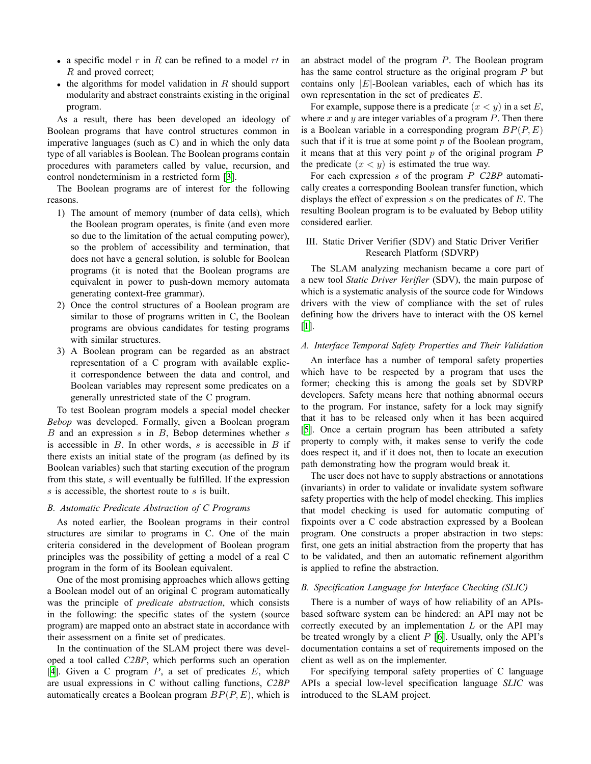- *•* a specific model *r* in *R* can be refined to a model *r′* in *R* and proved correct;
- *•* the algorithms for model validation in *R* should support modularity and abstract constraints existing in the original program.

As a result, there has been developed an ideology of Boolean programs that have control structures common in imperative languages (such as C) and in which the only data type of all variables is Boolean. The Boolean programs contain procedures with parameters called by value, recursion, and control nondeterminism in a restricted form[[3\]](#page-5-3).

The Boolean programs are of interest for the following reasons.

- 1) The amount of memory (number of data cells), which the Boolean program operates, is finite (and even more so due to the limitation of the actual computing power), so the problem of accessibility and termination, that does not have a general solution, is soluble for Boolean programs (it is noted that the Boolean programs are equivalent in power to push-down memory automata generating context-free grammar).
- 2) Once the control structures of a Boolean program are similar to those of programs written in C, the Boolean programs are obvious candidates for testing programs with similar structures.
- 3) A Boolean program can be regarded as an abstract representation of a C program with available explicit correspondence between the data and control, and Boolean variables may represent some predicates on a generally unrestricted state of the C program.

To test Boolean program models a special model checker *Bebop* was developed. Formally, given a Boolean program *B* and an expression *s* in *B*, Bebop determines whether *s* is accessible in *B*. In other words, *s* is accessible in *B* if there exists an initial state of the program (as defined by its Boolean variables) such that starting execution of the program from this state, *s* will eventually be fulfilled. If the expression *s* is accessible, the shortest route to *s* is built.

## *B. Automatic Predicate Abstraction of C Programs*

As noted earlier, the Boolean programs in their control structures are similar to programs in C. One of the main criteria considered in the development of Boolean program principles was the possibility of getting a model of a real C program in the form of its Boolean equivalent.

One of the most promising approaches which allows getting a Boolean model out of an original C program automatically was the principle of *predicate abstraction*, which consists in the following: the specific states of the system (source program) are mapped onto an abstract state in accordance with their assessment on a finite set of predicates.

In the continuation of the SLAM project there was developed a tool called *C2BP*, which performs such an operation [\[4](#page-5-4)]. Given a C program *P*, a set of predicates *E*, which are usual expressions in C without calling functions, *C2BP* automatically creates a Boolean program *BP*(*P, E*), which is an abstract model of the program *P*. The Boolean program has the same control structure as the original program *P* but contains only *|E|*-Boolean variables, each of which has its own representation in the set of predicates *E*.

For example, suppose there is a predicate  $(x < y)$  in a set *E*, where *x* and *y* are integer variables of a program *P*. Then there is a Boolean variable in a corresponding program *BP*(*P, E*) such that if it is true at some point *p* of the Boolean program, it means that at this very point *p* of the original program *P* the predicate  $(x < y)$  is estimated the true way.

For each expression *s* of the program *P C2BP* automatically creates a corresponding Boolean transfer function, which displays the effect of expression *s* on the predicates of *E*. The resulting Boolean program is to be evaluated by Bebop utility considered earlier.

# <span id="page-1-0"></span>III. Static Driver Verifier (SDV) and Static Driver Verifier Research Platform (SDVRP)

The SLAM analyzing mechanism became a core part of a new tool *Static Driver Verifier* (SDV), the main purpose of which is a systematic analysis of the source code for Windows drivers with the view of compliance with the set of rules defining how the drivers have to interact with the OS kernel [\[1](#page-5-0)].

## *A. Interface Temporal Safety Properties and Their Validation*

An interface has a number of temporal safety properties which have to be respected by a program that uses the former; checking this is among the goals set by SDVRP developers. Safety means here that nothing abnormal occurs to the program. For instance, safety for a lock may signify that it has to be released only when it has been acquired [\[5](#page-5-5)]. Once a certain program has been attributed a safety property to comply with, it makes sense to verify the code does respect it, and if it does not, then to locate an execution path demonstrating how the program would break it.

The user does not have to supply abstractions or annotations (invariants) in order to validate or invalidate system software safety properties with the help of model checking. This implies that model checking is used for automatic computing of fixpoints over a C code abstraction expressed by a Boolean program. One constructs a proper abstraction in two steps: first, one gets an initial abstraction from the property that has to be validated, and then an automatic refinement algorithm is applied to refine the abstraction.

# *B. Specification Language for Interface Checking (SLIC)*

There is a number of ways of how reliability of an APIsbased software system can be hindered: an API may not be correctly executed by an implementation *L* or the API may be treated wrongly by a client *P* [\[6](#page-5-6)]. Usually, only the API's documentation contains a set of requirements imposed on the client as well as on the implementer.

For specifying temporal safety properties of C language APIs a special low-level specification language *SLIC* was introduced to the SLAM project.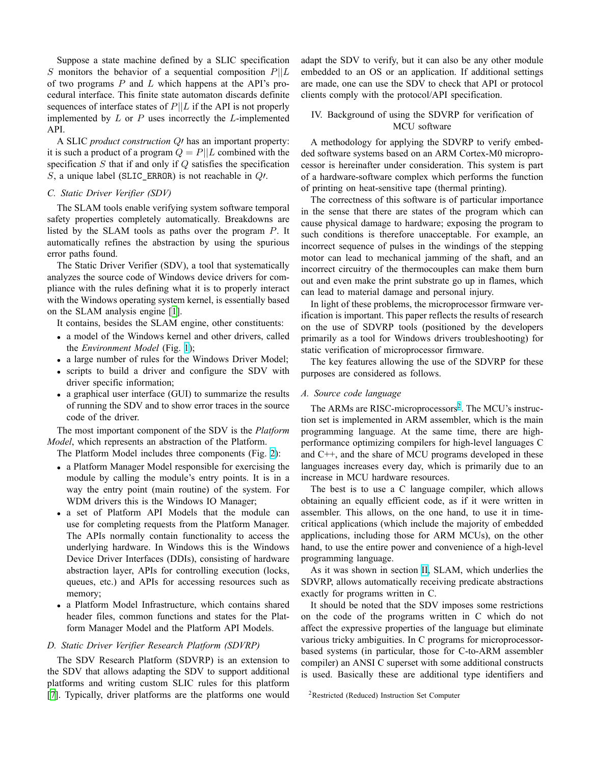Suppose a state machine defined by a SLIC specification *S* monitors the behavior of a sequential composition *P||L* of two programs *P* and *L* which happens at the API's procedural interface. This finite state automaton discards definite sequences of interface states of *P||L* if the API is not properly implemented by *L* or *P* uses incorrectly the *L*-implemented API.

A SLIC *product construction Q′* has an important property: it is such a product of a program  $Q = P||L$  combined with the specification *S* that if and only if *Q* satisfies the specification *S*, a unique label (SLIC\_ERROR) is not reachable in *Q′*.

# *C. Static Driver Verifier (SDV)*

The SLAM tools enable verifying system software temporal safety properties completely automatically. Breakdowns are listed by the SLAM tools as paths over the program *P*. It automatically refines the abstraction by using the spurious error paths found.

The Static Driver Verifier (SDV), a tool that systematically analyzes the source code of Windows device drivers for compliance with the rules defining what it is to properly interact with the Windows operating system kernel, is essentially based on the SLAM analysis engine [\[1](#page-5-0)].

It contains, besides the SLAM engine, other constituents:

- a model of the Windows kernel and other drivers, called the *Environment Model* (Fig. [1\)](#page-3-0);
- a large number of rules for the Windows Driver Model;
- *•* scripts to build a driver and configure the SDV with driver specific information;
- a graphical user interface (GUI) to summarize the results of running the SDV and to show error traces in the source code of the driver.

The most important component of the SDV is the *Platform Model*, which represents an abstraction of the Platform.

The Platform Model includes three components (Fig. [2](#page-3-1)):

- *•* a Platform Manager Model responsible for exercising the module by calling the module's entry points. It is in a way the entry point (main routine) of the system. For WDM drivers this is the Windows IO Manager;
- a set of Platform API Models that the module can use for completing requests from the Platform Manager. The APIs normally contain functionality to access the underlying hardware. In Windows this is the Windows Device Driver Interfaces (DDIs), consisting of hardware abstraction layer, APIs for controlling execution (locks, queues, etc.) and APIs for accessing resources such as memory;
- *•* a Platform Model Infrastructure, which contains shared header files, common functions and states for the Platform Manager Model and the Platform API Models.

# *D. Static Driver Verifier Research Platform (SDVRP)*

The SDV Research Platform (SDVRP) is an extension to the SDV that allows adapting the SDV to support additional platforms and writing custom SLIC rules for this platform [\[7](#page-5-7)]. Typically, driver platforms are the platforms one would adapt the SDV to verify, but it can also be any other module embedded to an OS or an application. If additional settings are made, one can use the SDV to check that API or protocol clients comply with the protocol/API specification.

# <span id="page-2-0"></span>IV. Background of using the SDVRP for verification of MCU software

A methodology for applying the SDVRP to verify embedded software systems based on an ARM Cortex-M0 microprocessor is hereinafter under consideration. This system is part of a hardware-software complex which performs the function of printing on heat-sensitive tape (thermal printing).

The correctness of this software is of particular importance in the sense that there are states of the program which can cause physical damage to hardware; exposing the program to such conditions is therefore unacceptable. For example, an incorrect sequence of pulses in the windings of the stepping motor can lead to mechanical jamming of the shaft, and an incorrect circuitry of the thermocouples can make them burn out and even make the print substrate go up in flames, which can lead to material damage and personal injury.

In light of these problems, the microprocessor firmware verification is important. This paper reflects the results of research on the use of SDVRP tools (positioned by the developers primarily as a tool for Windows drivers troubleshooting) for static verification of microprocessor firmware.

The key features allowing the use of the SDVRP for these purposes are considered as follows.

#### *A. Source code language*

The ARMs are RISC-microprocessors<sup>[2](#page-2-1)</sup>. The MCU's instruction set is implemented in ARM assembler, which is the main programming language. At the same time, there are highperformance optimizing compilers for high-level languages C and C++, and the share of MCU programs developed in these languages increases every day, which is primarily due to an increase in MCU hardware resources.

The best is to use a C language compiler, which allows obtaining an equally efficient code, as if it were written in assembler. This allows, on the one hand, to use it in timecritical applications (which include the majority of embedded applications, including those for ARM MCUs), on the other hand, to use the entire power and convenience of a high-level programming language.

As it was shown in section [II](#page-0-0), SLAM, which underlies the SDVRP, allows automatically receiving predicate abstractions exactly for programs written in C.

It should be noted that the SDV imposes some restrictions on the code of the programs written in C which do not affect the expressive properties of the language but eliminate various tricky ambiguities. In C programs for microprocessorbased systems (in particular, those for C-to-ARM assembler compiler) an ANSI C superset with some additional constructs is used. Basically these are additional type identifiers and

<span id="page-2-1"></span><sup>2</sup>Restricted (Reduced) Instruction Set Computer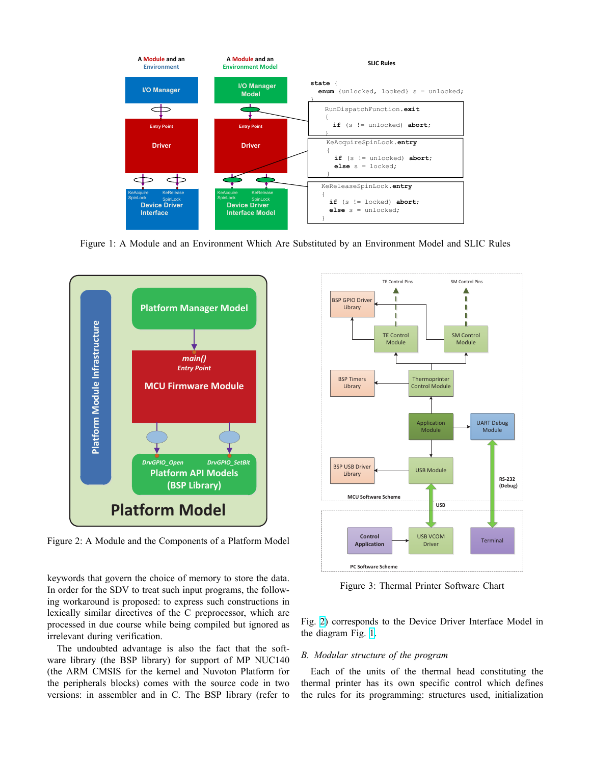<span id="page-3-0"></span>

Figure 1: A Module and an Environment Which Are Substituted by an Environment Model and SLIC Rules

<span id="page-3-1"></span>

Figure 2: A Module and the Components of a Platform Model

keywords that govern the choice of memory to store the data. In order for the SDV to treat such input programs, the following workaround is proposed: to express such constructions in lexically similar directives of the C preprocessor, which are processed in due course while being compiled but ignored as irrelevant during verification.

The undoubted advantage is also the fact that the software library (the BSP library) for support of MP NUC140 (the ARM CMSIS for the kernel and Nuvoton Platform for the peripherals blocks) comes with the source code in two versions: in assembler and in C. The BSP library (refer to

<span id="page-3-2"></span>

Figure 3: Thermal Printer Software Chart

Fig. [2\)](#page-3-1) corresponds to the Device Driver Interface Model in the diagram Fig. [1](#page-3-0).

# *B. Modular structure of the program*

Each of the units of the thermal head constituting the thermal printer has its own specific control which defines the rules for its programming: structures used, initialization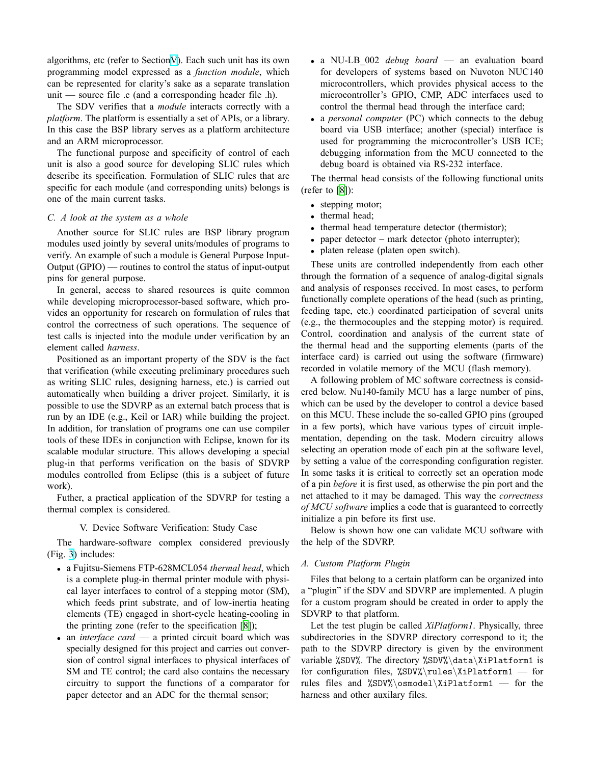algorithms, etc (refer to Section[V\)](#page-4-0). Each such unit has its own programming model expressed as a *function module*, which can be represented for clarity's sake as a separate translation unit — source file .c (and a corresponding header file .h).

The SDV verifies that a *module* interacts correctly with a *platform*. The platform is essentially a set of APIs, or a library. In this case the BSP library serves as a platform architecture and an ARM microprocessor.

The functional purpose and specificity of control of each unit is also a good source for developing SLIC rules which describe its specification. Formulation of SLIC rules that are specific for each module (and corresponding units) belongs is one of the main current tasks.

# *C. A look at the system as a whole*

Another source for SLIC rules are BSP library program modules used jointly by several units/modules of programs to verify. An example of such a module is General Purpose Input-Output (GPIO) — routines to control the status of input-output pins for general purpose.

In general, access to shared resources is quite common while developing microprocessor-based software, which provides an opportunity for research on formulation of rules that control the correctness of such operations. The sequence of test calls is injected into the module under verification by an element called *harness*.

Positioned as an important property of the SDV is the fact that verification (while executing preliminary procedures such as writing SLIC rules, designing harness, etc.) is carried out automatically when building a driver project. Similarly, it is possible to use the SDVRP as an external batch process that is run by an IDE (e.g., Keil or IAR) while building the project. In addition, for translation of programs one can use compiler tools of these IDEs in conjunction with Eclipse, known for its scalable modular structure. This allows developing a special plug-in that performs verification on the basis of SDVRP modules controlled from Eclipse (this is a subject of future work).

Futher, a practical application of the SDVRP for testing a thermal complex is considered.

# V. Device Software Verification: Study Case

<span id="page-4-0"></span>The hardware-software complex considered previously (Fig. [3\)](#page-3-2) includes:

- *•* a Fujitsu-Siemens FTP-628MCL054 *thermal head*, which is a complete plug-in thermal printer module with physical layer interfaces to control of a stepping motor (SM), which feeds print substrate, and of low-inertia heating elements (TE) engaged in short-cycle heating-cooling in the printing zone (refer to the specification [\[8](#page-5-8)]);
- *•* an *interface card* a printed circuit board which was specially designed for this project and carries out conversion of control signal interfaces to physical interfaces of SM and TE control; the card also contains the necessary circuitry to support the functions of a comparator for paper detector and an ADC for the thermal sensor;
- *•* a NU-LB\_002 *debug board* an evaluation board for developers of systems based on Nuvoton NUC140 microcontrollers, which provides physical access to the microcontroller's GPIO, CMP, ADC interfaces used to control the thermal head through the interface card;
- *•* a *personal computer* (PC) which connects to the debug board via USB interface; another (special) interface is used for programming the microcontroller's USB ICE; debugging information from the MCU connected to the debug board is obtained via RS-232 interface.

The thermal head consists of the following functional units (refer to [\[8](#page-5-8)]):

- *•* stepping motor;
- *•* thermal head;
- *•* thermal head temperature detector (thermistor);
- paper detector mark detector (photo interrupter);
- *•* platen release (platen open switch).

These units are controlled independently from each other through the formation of a sequence of analog-digital signals and analysis of responses received. In most cases, to perform functionally complete operations of the head (such as printing, feeding tape, etc.) coordinated participation of several units (e.g., the thermocouples and the stepping motor) is required. Control, coordination and analysis of the current state of the thermal head and the supporting elements (parts of the interface card) is carried out using the software (firmware) recorded in volatile memory of the MCU (flash memory).

A following problem of MC software correctness is considered below. Nu140-family MCU has a large number of pins, which can be used by the developer to control a device based on this MCU. These include the so-called GPIO pins (grouped in a few ports), which have various types of circuit implementation, depending on the task. Modern circuitry allows selecting an operation mode of each pin at the software level, by setting a value of the corresponding configuration register. In some tasks it is critical to correctly set an operation mode of a pin *before* it is first used, as otherwise the pin port and the net attached to it may be damaged. This way the *correctness of MCU software* implies a code that is guaranteed to correctly initialize a pin before its first use.

Below is shown how one can validate MCU software with the help of the SDVRP.

# *A. Custom Platform Plugin*

Files that belong to a certain platform can be organized into a "plugin" if the SDV and SDVRP are implemented. A plugin for a custom program should be created in order to apply the SDVRP to that platform.

Let the test plugin be called *XiPlatform1*. Physically, three subdirectories in the SDVRP directory correspond to it; the path to the SDVRP directory is given by the environment variable %SDV%. The directory %SDV%*\*data*\*XiPlatform1 is for configuration files, %SDV%*\*rules*\*XiPlatform1 — for rules files and %SDV%*\*osmodel*\*XiPlatform1 — for the harness and other auxilary files.